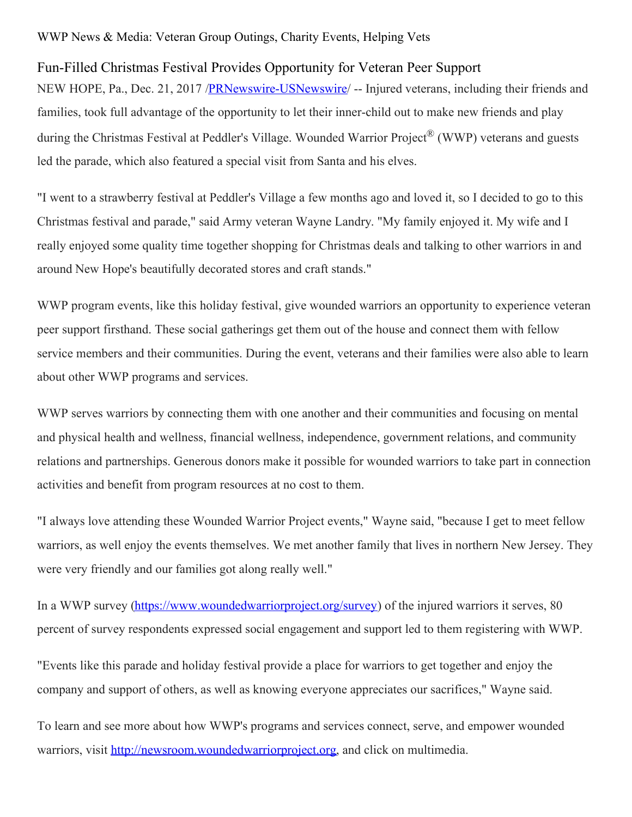## WWP News & Media: Veteran Group Outings, Charity Events, Helping Vets

## Fun-Filled Christmas Festival Provides Opportunity for Veteran Peer Support

NEW HOPE, Pa., Dec. 21, 2017 [/PRNewswire-USNewswire](http://www.prnewswire.com/)/ -- Injured veterans, including their friends and families, took full advantage of the opportunity to let their inner-child out to make new friends and play during the Christmas Festival at Peddler's Village. Wounded Warrior Project® (WWP) veterans and guests led the parade, which also featured a special visit from Santa and his elves.

"I went to a strawberry festival at Peddler's Village a few months ago and loved it, so I decided to go to this Christmas festival and parade," said Army veteran Wayne Landry. "My family enjoyed it. My wife and I really enjoyed some quality time together shopping for Christmas deals and talking to other warriors in and around New Hope's beautifully decorated stores and craft stands."

WWP program events, like this holiday festival, give wounded warriors an opportunity to experience veteran peer support firsthand. These social gatherings get them out of the house and connect them with fellow service members and their communities. During the event, veterans and their families were also able to learn about other WWP programs and services.

WWP serves warriors by connecting them with one another and their communities and focusing on mental and physical health and wellness, financial wellness, independence, government relations, and community relations and partnerships. Generous donors make it possible for wounded warriors to take part in connection activities and benefit from program resources at no cost to them.

"I always love attending these Wounded Warrior Project events," Wayne said, "because I get to meet fellow warriors, as well enjoy the events themselves. We met another family that lives in northern New Jersey. They were very friendly and our families got along really well."

In a WWP survey [\(https://www.woundedwarriorproject.org/survey](https://www.woundedwarriorproject.org/survey)) of the injured warriors it serves, 80 percent of survey respondents expressed social engagement and support led to them registering with WWP.

"Events like this parade and holiday festival provide a place for warriors to get together and enjoy the company and support of others, as well as knowing everyone appreciates our sacrifices," Wayne said.

To learn and see more about how WWP's programs and services connect, serve, and empower wounded warriors, visit [http://newsroom.woundedwarriorproject.org](http://newsroom.woundedwarriorproject.org/), and click on multimedia.